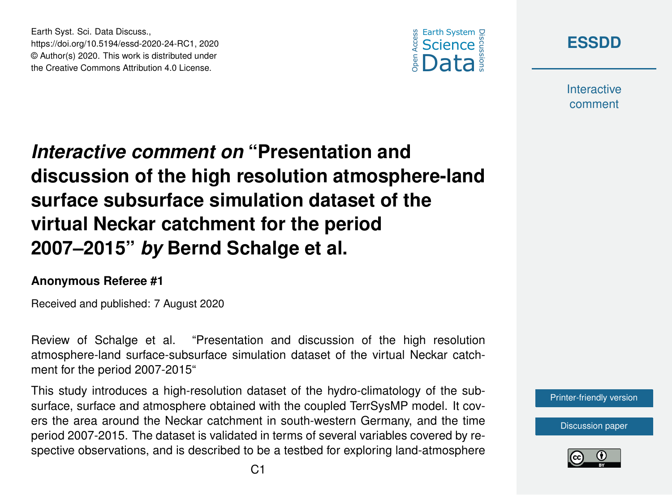





**Interactive** comment

# *Interactive comment on* **"Presentation and discussion of the high resolution atmosphere-land surface subsurface simulation dataset of the virtual Neckar catchment for the period 2007–2015"** *by* **Bernd Schalge et al.**

#### **Anonymous Referee #1**

Received and published: 7 August 2020

Review of Schalge et al. "Presentation and discussion of the high resolution atmosphere-land surface-subsurface simulation dataset of the virtual Neckar catchment for the period 2007-2015"

This study introduces a high-resolution dataset of the hydro-climatology of the subsurface, surface and atmosphere obtained with the coupled TerrSysMP model. It covers the area around the Neckar catchment in south-western Germany, and the time period 2007-2015. The dataset is validated in terms of several variables covered by respective observations, and is described to be a testbed for exploring land-atmosphere

[Printer-friendly version](https://essd.copernicus.org/preprints/essd-2020-24/essd-2020-24-RC1-print.pdf)

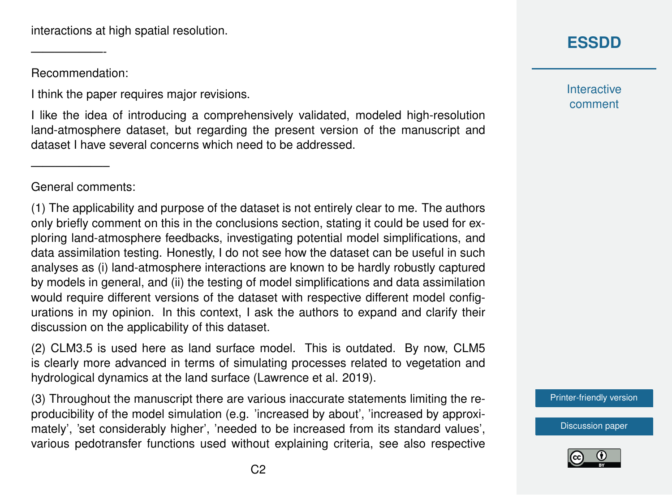interactions at high spatial resolution.

Recommendation:

——————-

I think the paper requires major revisions.

I like the idea of introducing a comprehensively validated, modeled high-resolution land-atmosphere dataset, but regarding the present version of the manuscript and dataset I have several concerns which need to be addressed.

General comments:

——————–

(1) The applicability and purpose of the dataset is not entirely clear to me. The authors only briefly comment on this in the conclusions section, stating it could be used for exploring land-atmosphere feedbacks, investigating potential model simplifications, and data assimilation testing. Honestly, I do not see how the dataset can be useful in such analyses as (i) land-atmosphere interactions are known to be hardly robustly captured by models in general, and (ii) the testing of model simplifications and data assimilation would require different versions of the dataset with respective different model configurations in my opinion. In this context, I ask the authors to expand and clarify their discussion on the applicability of this dataset.

(2) CLM3.5 is used here as land surface model. This is outdated. By now, CLM5 is clearly more advanced in terms of simulating processes related to vegetation and hydrological dynamics at the land surface (Lawrence et al. 2019).

(3) Throughout the manuscript there are various inaccurate statements limiting the reproducibility of the model simulation (e.g. 'increased by about', 'increased by approximately', 'set considerably higher', 'needed to be increased from its standard values', various pedotransfer functions used without explaining criteria, see also respective

# **[ESSDD](https://essd.copernicus.org/preprints/)**

**Interactive** comment

[Printer-friendly version](https://essd.copernicus.org/preprints/essd-2020-24/essd-2020-24-RC1-print.pdf)

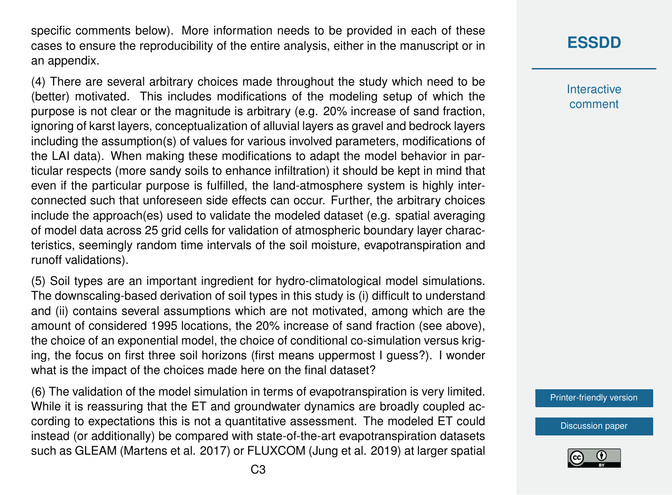specific comments below). More information needs to be provided in each of these cases to ensure the reproducibility of the entire analysis, either in the manuscript or in an appendix.

(4) There are several arbitrary choices made throughout the study which need to be (better) motivated. This includes modifications of the modeling setup of which the purpose is not clear or the magnitude is arbitrary (e.g. 20% increase of sand fraction, ignoring of karst layers, conceptualization of alluvial layers as gravel and bedrock layers including the assumption(s) of values for various involved parameters, modifications of the LAI data). When making these modifications to adapt the model behavior in particular respects (more sandy soils to enhance infiltration) it should be kept in mind that even if the particular purpose is fulfilled, the land-atmosphere system is highly interconnected such that unforeseen side effects can occur. Further, the arbitrary choices include the approach(es) used to validate the modeled dataset (e.g. spatial averaging of model data across 25 grid cells for validation of atmospheric boundary layer characteristics, seemingly random time intervals of the soil moisture, evapotranspiration and runoff validations).

(5) Soil types are an important ingredient for hydro-climatological model simulations. The downscaling-based derivation of soil types in this study is (i) difficult to understand and (ii) contains several assumptions which are not motivated, among which are the amount of considered 1995 locations, the 20% increase of sand fraction (see above), the choice of an exponential model, the choice of conditional co-simulation versus kriging, the focus on first three soil horizons (first means uppermost I guess?). I wonder what is the impact of the choices made here on the final dataset?

(6) The validation of the model simulation in terms of evapotranspiration is very limited. While it is reassuring that the ET and groundwater dynamics are broadly coupled according to expectations this is not a quantitative assessment. The modeled ET could instead (or additionally) be compared with state-of-the-art evapotranspiration datasets such as GLEAM (Martens et al. 2017) or FLUXCOM (Jung et al. 2019) at larger spatial

## **[ESSDD](https://essd.copernicus.org/preprints/)**

**Interactive** comment

[Printer-friendly version](https://essd.copernicus.org/preprints/essd-2020-24/essd-2020-24-RC1-print.pdf)

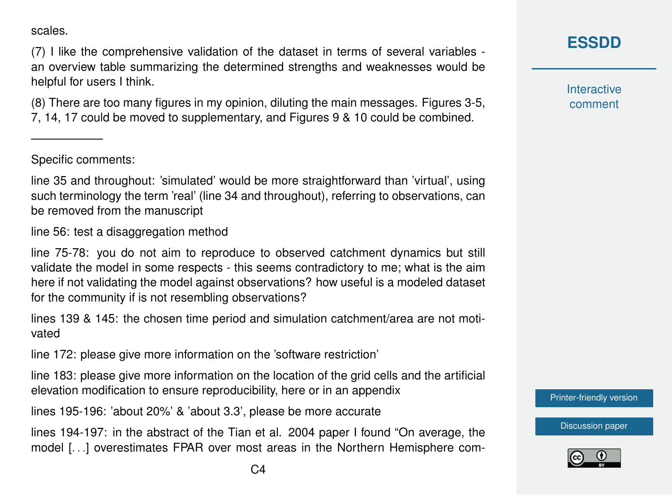scales.

(7) I like the comprehensive validation of the dataset in terms of several variables an overview table summarizing the determined strengths and weaknesses would be helpful for users I think.

(8) There are too many figures in my opinion, diluting the main messages. Figures 3-5, 7, 14, 17 could be moved to supplementary, and Figures 9 & 10 could be combined.

Specific comments:

——————

line 35 and throughout: 'simulated' would be more straightforward than 'virtual', using such terminology the term 'real' (line 34 and throughout), referring to observations, can be removed from the manuscript

line 56: test a disaggregation method

line 75-78: you do not aim to reproduce to observed catchment dynamics but still validate the model in some respects - this seems contradictory to me; what is the aim here if not validating the model against observations? how useful is a modeled dataset for the community if is not resembling observations?

lines 139 & 145: the chosen time period and simulation catchment/area are not motivated

line 172: please give more information on the 'software restriction'

line 183: please give more information on the location of the grid cells and the artificial elevation modification to ensure reproducibility, here or in an appendix

lines 195-196: 'about 20%' & 'about 3.3', please be more accurate

lines 194-197: in the abstract of the Tian et al. 2004 paper I found "On average, the model [. . .] overestimates FPAR over most areas in the Northern Hemisphere com**Interactive** comment

[Printer-friendly version](https://essd.copernicus.org/preprints/essd-2020-24/essd-2020-24-RC1-print.pdf)

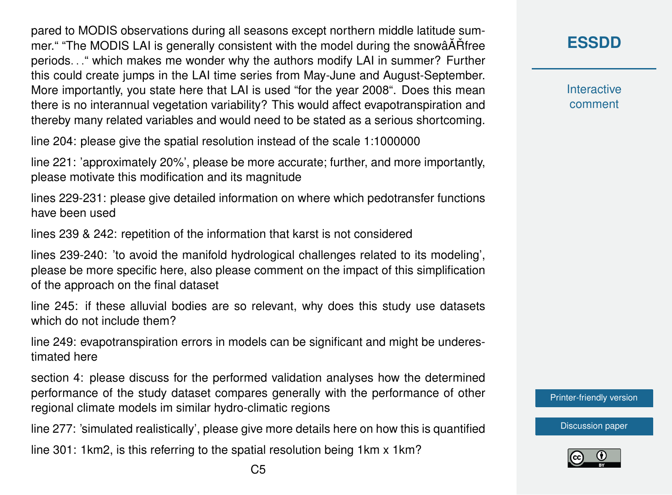pared to MODIS observations during all seasons except northern middle latitude summer." "The MODIS LAI is generally consistent with the model during the snowâATH free periods. . ." which makes me wonder why the authors modify LAI in summer? Further this could create jumps in the LAI time series from May-June and August-September. More importantly, you state here that LAI is used "for the year 2008". Does this mean there is no interannual vegetation variability? This would affect evapotranspiration and thereby many related variables and would need to be stated as a serious shortcoming.

line 204: please give the spatial resolution instead of the scale 1:1000000

line 221: 'approximately 20%', please be more accurate; further, and more importantly, please motivate this modification and its magnitude

lines 229-231: please give detailed information on where which pedotransfer functions have been used

lines 239 & 242: repetition of the information that karst is not considered

lines 239-240: 'to avoid the manifold hydrological challenges related to its modeling', please be more specific here, also please comment on the impact of this simplification of the approach on the final dataset

line 245: if these alluvial bodies are so relevant, why does this study use datasets which do not include them?

line 249: evapotranspiration errors in models can be significant and might be underestimated here

section 4: please discuss for the performed validation analyses how the determined performance of the study dataset compares generally with the performance of other regional climate models im similar hydro-climatic regions

line 277: 'simulated realistically', please give more details here on how this is quantified

line 301: 1km2, is this referring to the spatial resolution being 1km x 1km?

**[ESSDD](https://essd.copernicus.org/preprints/)**

**Interactive** comment

[Printer-friendly version](https://essd.copernicus.org/preprints/essd-2020-24/essd-2020-24-RC1-print.pdf)

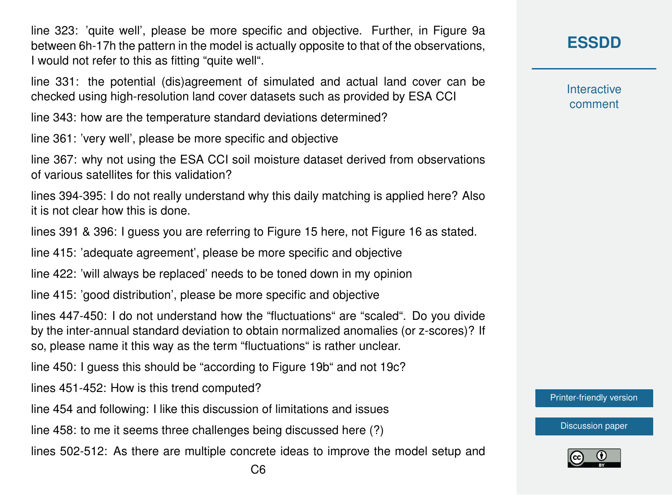line 323: 'quite well', please be more specific and objective. Further, in Figure 9a between 6h-17h the pattern in the model is actually opposite to that of the observations, I would not refer to this as fitting "quite well".

line 331: the potential (dis)agreement of simulated and actual land cover can be checked using high-resolution land cover datasets such as provided by ESA CCI

line 343: how are the temperature standard deviations determined?

line 361: 'very well', please be more specific and objective

line 367: why not using the ESA CCI soil moisture dataset derived from observations of various satellites for this validation?

lines 394-395: I do not really understand why this daily matching is applied here? Also it is not clear how this is done.

lines 391 & 396: I guess you are referring to Figure 15 here, not Figure 16 as stated.

line 415: 'adequate agreement', please be more specific and objective

line 422: 'will always be replaced' needs to be toned down in my opinion

line 415: 'good distribution', please be more specific and objective

lines 447-450: I do not understand how the "fluctuations" are "scaled". Do you divide by the inter-annual standard deviation to obtain normalized anomalies (or z-scores)? If so, please name it this way as the term "fluctuations" is rather unclear.

line 450: I guess this should be "according to Figure 19b" and not 19c?

lines 451-452: How is this trend computed?

line 454 and following: I like this discussion of limitations and issues

line 458: to me it seems three challenges being discussed here (?)

lines 502-512: As there are multiple concrete ideas to improve the model setup and

**[ESSDD](https://essd.copernicus.org/preprints/)**

**Interactive** comment

[Printer-friendly version](https://essd.copernicus.org/preprints/essd-2020-24/essd-2020-24-RC1-print.pdf)

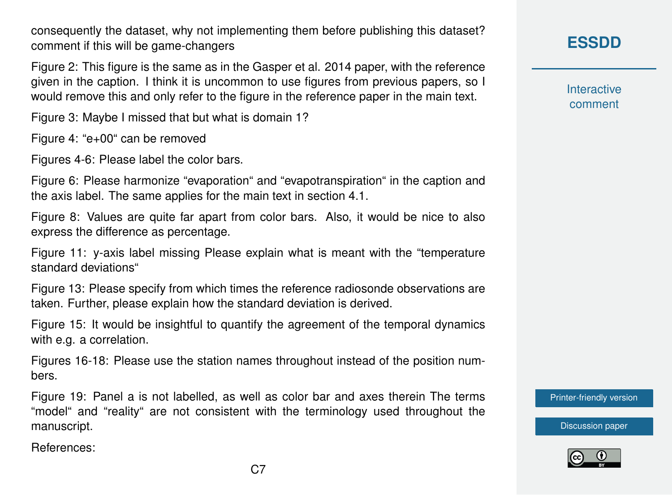consequently the dataset, why not implementing them before publishing this dataset? comment if this will be game-changers

Figure 2: This figure is the same as in the Gasper et al. 2014 paper, with the reference given in the caption. I think it is uncommon to use figures from previous papers, so I would remove this and only refer to the figure in the reference paper in the main text.

Figure 3: Maybe I missed that but what is domain 1?

Figure 4: "e+00" can be removed

Figures 4-6: Please label the color bars.

Figure 6: Please harmonize "evaporation" and "evapotranspiration" in the caption and the axis label. The same applies for the main text in section 4.1.

Figure 8: Values are quite far apart from color bars. Also, it would be nice to also express the difference as percentage.

Figure 11: y-axis label missing Please explain what is meant with the "temperature standard deviations"

Figure 13: Please specify from which times the reference radiosonde observations are taken. Further, please explain how the standard deviation is derived.

Figure 15: It would be insightful to quantify the agreement of the temporal dynamics with e.g. a correlation.

Figures 16-18: Please use the station names throughout instead of the position numbers.

Figure 19: Panel a is not labelled, as well as color bar and axes therein The terms "model" and "reality" are not consistent with the terminology used throughout the manuscript.

References:

## **[ESSDD](https://essd.copernicus.org/preprints/)**

**Interactive** comment

[Printer-friendly version](https://essd.copernicus.org/preprints/essd-2020-24/essd-2020-24-RC1-print.pdf)